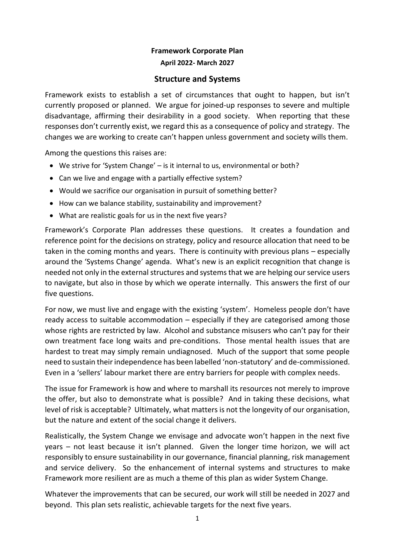# **Framework Corporate Plan April 2022- March 2027**

# **Structure and Systems**

Framework exists to establish a set of circumstances that ought to happen, but isn't currently proposed or planned. We argue for joined-up responses to severe and multiple disadvantage, affirming their desirability in a good society. When reporting that these responses don't currently exist, we regard this as a consequence of policy and strategy. The changes we are working to create can't happen unless government and society wills them.

Among the questions this raises are:

- We strive for 'System Change' is it internal to us, environmental or both?
- Can we live and engage with a partially effective system?
- Would we sacrifice our organisation in pursuit of something better?
- How can we balance stability, sustainability and improvement?
- What are realistic goals for us in the next five years?

Framework's Corporate Plan addresses these questions. It creates a foundation and reference point for the decisions on strategy, policy and resource allocation that need to be taken in the coming months and years. There is continuity with previous plans – especially around the 'Systems Change' agenda. What's new is an explicit recognition that change is needed not only in the external structures and systems that we are helping our service users to navigate, but also in those by which we operate internally. This answers the first of our five questions.

For now, we must live and engage with the existing 'system'. Homeless people don't have ready access to suitable accommodation – especially if they are categorised among those whose rights are restricted by law. Alcohol and substance misusers who can't pay for their own treatment face long waits and pre-conditions. Those mental health issues that are hardest to treat may simply remain undiagnosed. Much of the support that some people need to sustain their independence has been labelled 'non-statutory' and de-commissioned. Even in a 'sellers' labour market there are entry barriers for people with complex needs.

The issue for Framework is how and where to marshall its resources not merely to improve the offer, but also to demonstrate what is possible? And in taking these decisions, what level of risk is acceptable? Ultimately, what matters is not the longevity of our organisation, but the nature and extent of the social change it delivers.

Realistically, the System Change we envisage and advocate won't happen in the next five years – not least because it isn't planned. Given the longer time horizon, we will act responsibly to ensure sustainability in our governance, financial planning, risk management and service delivery. So the enhancement of internal systems and structures to make Framework more resilient are as much a theme of this plan as wider System Change.

Whatever the improvements that can be secured, our work will still be needed in 2027 and beyond. This plan sets realistic, achievable targets for the next five years.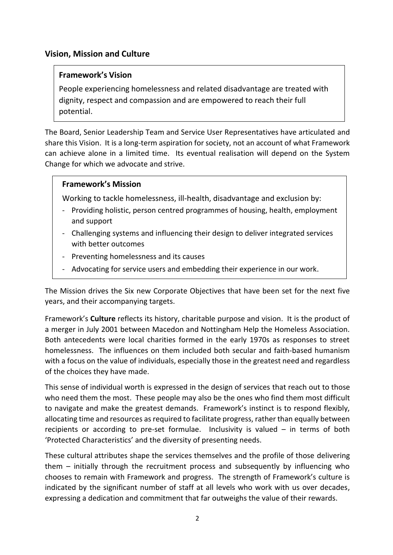# **Vision, Mission and Culture**

## **Framework's Vision**

People experiencing homelessness and related disadvantage are treated with dignity, respect and compassion and are empowered to reach their full potential.

The Board, Senior Leadership Team and Service User Representatives have articulated and share this Vision. It is a long-term aspiration for society, not an account of what Framework can achieve alone in a limited time. Its eventual realisation will depend on the System Change for which we advocate and strive.

### **Framework's Mission**

Working to tackle homelessness, ill-health, disadvantage and exclusion by:

- Providing holistic, person centred programmes of housing, health, employment and support
- Challenging systems and influencing their design to deliver integrated services with better outcomes
- Preventing homelessness and its causes
- Advocating for service users and embedding their experience in our work.

The Mission drives the Six new Corporate Objectives that have been set for the next five years, and their accompanying targets.

Framework's **Culture** reflects its history, charitable purpose and vision. It is the product of a merger in July 2001 between Macedon and Nottingham Help the Homeless Association. Both antecedents were local charities formed in the early 1970s as responses to street homelessness. The influences on them included both secular and faith-based humanism with a focus on the value of individuals, especially those in the greatest need and regardless of the choices they have made.

This sense of individual worth is expressed in the design of services that reach out to those who need them the most. These people may also be the ones who find them most difficult to navigate and make the greatest demands. Framework's instinct is to respond flexibly, allocating time and resources as required to facilitate progress, rather than equally between recipients or according to pre-set formulae. Inclusivity is valued – in terms of both 'Protected Characteristics' and the diversity of presenting needs.

These cultural attributes shape the services themselves and the profile of those delivering them – initially through the recruitment process and subsequently by influencing who chooses to remain with Framework and progress. The strength of Framework's culture is indicated by the significant number of staff at all levels who work with us over decades, expressing a dedication and commitment that far outweighs the value of their rewards.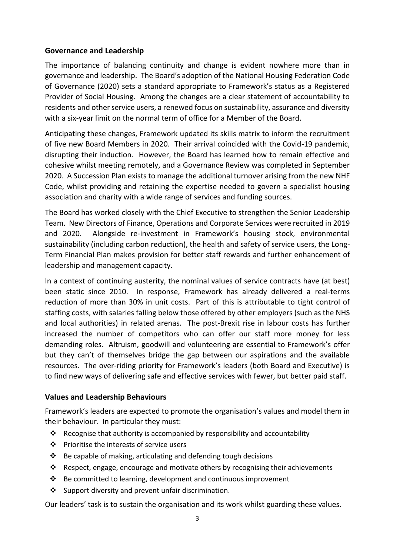### **Governance and Leadership**

The importance of balancing continuity and change is evident nowhere more than in governance and leadership. The Board's adoption of the National Housing Federation Code of Governance (2020) sets a standard appropriate to Framework's status as a Registered Provider of Social Housing. Among the changes are a clear statement of accountability to residents and other service users, a renewed focus on sustainability, assurance and diversity with a six-year limit on the normal term of office for a Member of the Board.

Anticipating these changes, Framework updated its skills matrix to inform the recruitment of five new Board Members in 2020. Their arrival coincided with the Covid-19 pandemic, disrupting their induction. However, the Board has learned how to remain effective and cohesive whilst meeting remotely, and a Governance Review was completed in September 2020. A Succession Plan exists to manage the additional turnover arising from the new NHF Code, whilst providing and retaining the expertise needed to govern a specialist housing association and charity with a wide range of services and funding sources.

The Board has worked closely with the Chief Executive to strengthen the Senior Leadership Team. New Directors of Finance, Operations and Corporate Services were recruited in 2019 and 2020. Alongside re-investment in Framework's housing stock, environmental sustainability (including carbon reduction), the health and safety of service users, the Long-Term Financial Plan makes provision for better staff rewards and further enhancement of leadership and management capacity.

In a context of continuing austerity, the nominal values of service contracts have (at best) been static since 2010. In response, Framework has already delivered a real-terms reduction of more than 30% in unit costs. Part of this is attributable to tight control of staffing costs, with salaries falling below those offered by other employers (such as the NHS and local authorities) in related arenas. The post-Brexit rise in labour costs has further increased the number of competitors who can offer our staff more money for less demanding roles. Altruism, goodwill and volunteering are essential to Framework's offer but they can't of themselves bridge the gap between our aspirations and the available resources. The over-riding priority for Framework's leaders (both Board and Executive) is to find new ways of delivering safe and effective services with fewer, but better paid staff.

# **Values and Leadership Behaviours**

Framework's leaders are expected to promote the organisation's values and model them in their behaviour. In particular they must:

- ❖ Recognise that authority is accompanied by responsibility and accountability
- ❖ Prioritise the interests of service users
- ❖ Be capable of making, articulating and defending tough decisions
- $\dots$  Respect, engage, encourage and motivate others by recognising their achievements
- ❖ Be committed to learning, development and continuous improvement
- ❖ Support diversity and prevent unfair discrimination.

Our leaders' task is to sustain the organisation and its work whilst guarding these values.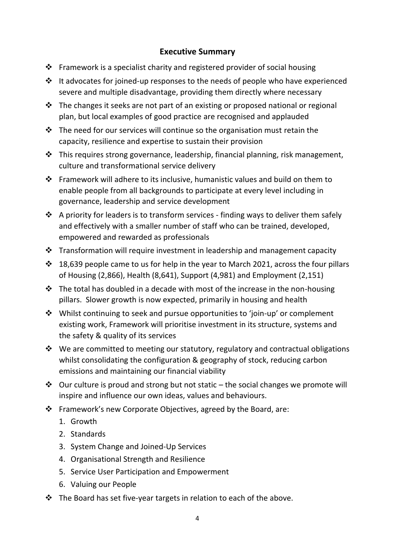# **Executive Summary**

- ❖ Framework is a specialist charity and registered provider of social housing
- ❖ It advocates for joined-up responses to the needs of people who have experienced severe and multiple disadvantage, providing them directly where necessary
- ❖ The changes it seeks are not part of an existing or proposed national or regional plan, but local examples of good practice are recognised and applauded
- ❖ The need for our services will continue so the organisation must retain the capacity, resilience and expertise to sustain their provision
- ❖ This requires strong governance, leadership, financial planning, risk management, culture and transformational service delivery
- ❖ Framework will adhere to its inclusive, humanistic values and build on them to enable people from all backgrounds to participate at every level including in governance, leadership and service development
- ❖ A priority for leaders is to transform services finding ways to deliver them safely and effectively with a smaller number of staff who can be trained, developed, empowered and rewarded as professionals
- ❖ Transformation will require investment in leadership and management capacity
- ❖ 18,639 people came to us for help in the year to March 2021, across the four pillars of Housing (2,866), Health (8,641), Support (4,981) and Employment (2,151)
- ❖ The total has doubled in a decade with most of the increase in the non-housing pillars. Slower growth is now expected, primarily in housing and health
- ❖ Whilst continuing to seek and pursue opportunities to 'join-up' or complement existing work, Framework will prioritise investment in its structure, systems and the safety & quality of its services
- ❖ We are committed to meeting our statutory, regulatory and contractual obligations whilst consolidating the configuration & geography of stock, reducing carbon emissions and maintaining our financial viability
- ◆ Our culture is proud and strong but not static the social changes we promote will inspire and influence our own ideas, values and behaviours.
- ❖ Framework's new Corporate Objectives, agreed by the Board, are:
	- 1. Growth
	- 2. Standards
	- 3. System Change and Joined-Up Services
	- 4. Organisational Strength and Resilience
	- 5. Service User Participation and Empowerment
	- 6. Valuing our People
- ❖ The Board has set five-year targets in relation to each of the above.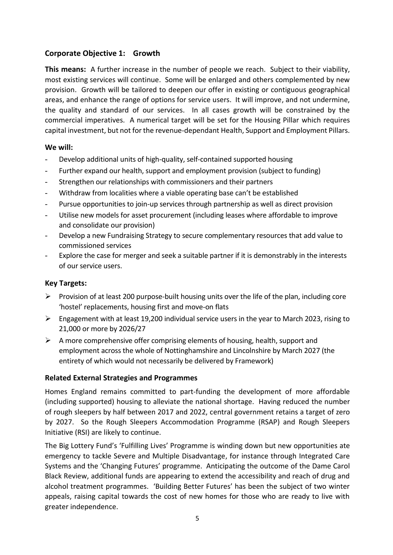# **Corporate Objective 1: Growth**

**This means:** A further increase in the number of people we reach. Subject to their viability, most existing services will continue. Some will be enlarged and others complemented by new provision. Growth will be tailored to deepen our offer in existing or contiguous geographical areas, and enhance the range of options for service users. It will improve, and not undermine, the quality and standard of our services. In all cases growth will be constrained by the commercial imperatives. A numerical target will be set for the Housing Pillar which requires capital investment, but not for the revenue-dependant Health, Support and Employment Pillars.

### **We will:**

- Develop additional units of high-quality, self-contained supported housing
- Further expand our health, support and employment provision (subject to funding)
- Strengthen our relationships with commissioners and their partners
- Withdraw from localities where a viable operating base can't be established
- Pursue opportunities to join-up services through partnership as well as direct provision
- Utilise new models for asset procurement (including leases where affordable to improve and consolidate our provision)
- Develop a new Fundraising Strategy to secure complementary resources that add value to commissioned services
- Explore the case for merger and seek a suitable partner if it is demonstrably in the interests of our service users.

### **Key Targets:**

- ➢ Provision of at least 200 purpose-built housing units over the life of the plan, including core 'hostel' replacements, housing first and move-on flats
- $\triangleright$  Engagement with at least 19,200 individual service users in the year to March 2023, rising to 21,000 or more by 2026/27
- $\triangleright$  A more comprehensive offer comprising elements of housing, health, support and employment across the whole of Nottinghamshire and Lincolnshire by March 2027 (the entirety of which would not necessarily be delivered by Framework)

### **Related External Strategies and Programmes**

Homes England remains committed to part-funding the development of more affordable (including supported) housing to alleviate the national shortage. Having reduced the number of rough sleepers by half between 2017 and 2022, central government retains a target of zero by 2027. So the Rough Sleepers Accommodation Programme (RSAP) and Rough Sleepers Initiative (RSI) are likely to continue.

The Big Lottery Fund's 'Fulfilling Lives' Programme is winding down but new opportunities ate emergency to tackle Severe and Multiple Disadvantage, for instance through Integrated Care Systems and the 'Changing Futures' programme. Anticipating the outcome of the Dame Carol Black Review, additional funds are appearing to extend the accessibility and reach of drug and alcohol treatment programmes. 'Building Better Futures' has been the subject of two winter appeals, raising capital towards the cost of new homes for those who are ready to live with greater independence.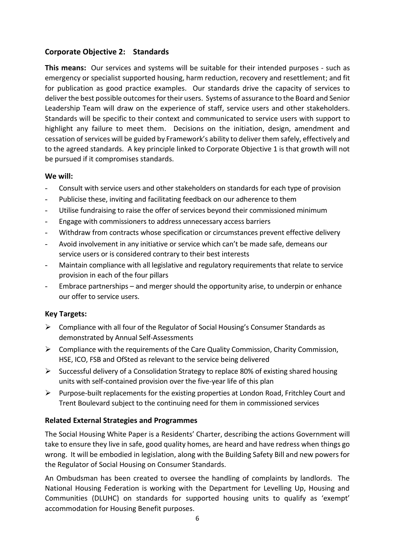# **Corporate Objective 2: Standards**

**This means:** Our services and systems will be suitable for their intended purposes - such as emergency or specialist supported housing, harm reduction, recovery and resettlement; and fit for publication as good practice examples. Our standards drive the capacity of services to deliverthe best possible outcomes for their users. Systems of assurance to the Board and Senior Leadership Team will draw on the experience of staff, service users and other stakeholders. Standards will be specific to their context and communicated to service users with support to highlight any failure to meet them. Decisions on the initiation, design, amendment and cessation of services will be guided by Framework's ability to deliver them safely, effectively and to the agreed standards. A key principle linked to Corporate Objective 1 is that growth will not be pursued if it compromises standards.

### **We will:**

- Consult with service users and other stakeholders on standards for each type of provision
- Publicise these, inviting and facilitating feedback on our adherence to them
- Utilise fundraising to raise the offer of services beyond their commissioned minimum
- Engage with commissioners to address unnecessary access barriers
- Withdraw from contracts whose specification or circumstances prevent effective delivery
- Avoid involvement in any initiative or service which can't be made safe, demeans our service users or is considered contrary to their best interests
- Maintain compliance with all legislative and regulatory requirements that relate to service provision in each of the four pillars
- Embrace partnerships and merger should the opportunity arise, to underpin or enhance our offer to service users.

### **Key Targets:**

- ➢ Compliance with all four of the Regulator of Social Housing's Consumer Standards as demonstrated by Annual Self-Assessments
- $\triangleright$  Compliance with the requirements of the Care Quality Commission, Charity Commission, HSE, ICO, FSB and OfSted as relevant to the service being delivered
- ➢ Successful delivery of a Consolidation Strategy to replace 80% of existing shared housing units with self-contained provision over the five-year life of this plan
- $\triangleright$  Purpose-built replacements for the existing properties at London Road, Fritchley Court and Trent Boulevard subject to the continuing need for them in commissioned services

### **Related External Strategies and Programmes**

The Social Housing White Paper is a Residents' Charter, describing the actions Government will take to ensure they live in safe, good quality homes, are heard and have redress when things go wrong. It will be embodied in legislation, along with the Building Safety Bill and new powers for the Regulator of Social Housing on Consumer Standards.

An Ombudsman has been created to oversee the handling of complaints by landlords. The National Housing Federation is working with the Department for Levelling Up, Housing and Communities (DLUHC) on standards for supported housing units to qualify as 'exempt' accommodation for Housing Benefit purposes.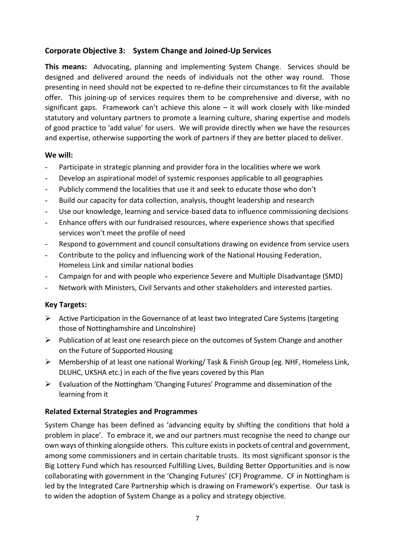# **Corporate Objective 3: System Change and Joined-Up Services**

**This means:** Advocating, planning and implementing System Change. Services should be designed and delivered around the needs of individuals not the other way round. Those presenting in need should not be expected to re-define their circumstances to fit the available offer. This joining-up of services requires them to be comprehensive and diverse, with no significant gaps. Framework can't achieve this alone – it will work closely with like-minded statutory and voluntary partners to promote a learning culture, sharing expertise and models of good practice to 'add value' for users. We will provide directly when we have the resources and expertise, otherwise supporting the work of partners if they are better placed to deliver.

### **We will:**

- Participate in strategic planning and provider fora in the localities where we work
- Develop an aspirational model of systemic responses applicable to all geographies
- Publicly commend the localities that use it and seek to educate those who don't
- Build our capacity for data collection, analysis, thought leadership and research
- Use our knowledge, learning and service-based data to influence commissioning decisions
- Enhance offers with our fundraised resources, where experience shows that specified services won't meet the profile of need
- Respond to government and council consultations drawing on evidence from service users
- Contribute to the policy and influencing work of the National Housing Federation, Homeless Link and similar national bodies
- Campaign for and with people who experience Severe and Multiple Disadvantage (SMD)
- Network with Ministers, Civil Servants and other stakeholders and interested parties.

### **Key Targets:**

- ➢ Active Participation in the Governance of at least two Integrated Care Systems (targeting those of Nottinghamshire and Lincolnshire)
- $\triangleright$  Publication of at least one research piece on the outcomes of System Change and another on the Future of Supported Housing
- ➢ Membership of at least one national Working/ Task & Finish Group (eg. NHF, Homeless Link, DLUHC, UKSHA etc.) in each of the five years covered by this Plan
- ➢ Evaluation of the Nottingham 'Changing Futures' Programme and dissemination of the learning from it

### **Related External Strategies and Programmes**

System Change has been defined as 'advancing equity by shifting the conditions that hold a problem in place'. To embrace it, we and our partners must recognise the need to change our own ways of thinking alongside others. This culture exists in pockets of central and government, among some commissioners and in certain charitable trusts. Its most significant sponsor is the Big Lottery Fund which has resourced Fulfilling Lives, Building Better Opportunities and is now collaborating with government in the 'Changing Futures' (CF) Programme. CF in Nottingham is led by the Integrated Care Partnership which is drawing on Framework's expertise. Our task is to widen the adoption of System Change as a policy and strategy objective.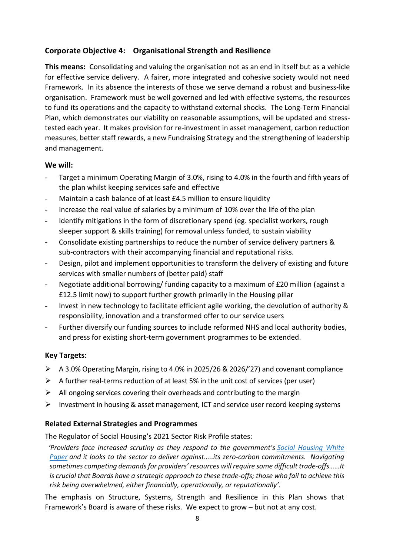# **Corporate Objective 4: Organisational Strength and Resilience**

**This means:** Consolidating and valuing the organisation not as an end in itself but as a vehicle for effective service delivery. A fairer, more integrated and cohesive society would not need Framework. In its absence the interests of those we serve demand a robust and business-like organisation. Framework must be well governed and led with effective systems, the resources to fund its operations and the capacity to withstand external shocks. The Long-Term Financial Plan, which demonstrates our viability on reasonable assumptions, will be updated and stresstested each year. It makes provision for re-investment in asset management, carbon reduction measures, better staff rewards, a new Fundraising Strategy and the strengthening of leadership and management.

### **We will:**

- Target a minimum Operating Margin of 3.0%, rising to 4.0% in the fourth and fifth years of the plan whilst keeping services safe and effective
- Maintain a cash balance of at least £4.5 million to ensure liquidity
- Increase the real value of salaries by a minimum of 10% over the life of the plan
- Identify mitigations in the form of discretionary spend (eg. specialist workers, rough sleeper support & skills training) for removal unless funded, to sustain viability
- Consolidate existing partnerships to reduce the number of service delivery partners & sub-contractors with their accompanying financial and reputational risks.
- Design, pilot and implement opportunities to transform the delivery of existing and future services with smaller numbers of (better paid) staff
- Negotiate additional borrowing/ funding capacity to a maximum of £20 million (against a £12.5 limit now) to support further growth primarily in the Housing pillar
- Invest in new technology to facilitate efficient agile working, the devolution of authority & responsibility, innovation and a transformed offer to our service users
- Further diversify our funding sources to include reformed NHS and local authority bodies, and press for existing short-term government programmes to be extended.

# **Key Targets:**

- ➢ A 3.0% Operating Margin, rising to 4.0% in 2025/26 & 2026/'27) and covenant compliance
- $\triangleright$  A further real-terms reduction of at least 5% in the unit cost of services (per user)
- $\triangleright$  All ongoing services covering their overheads and contributing to the margin
- ➢ Investment in housing & asset management, ICT and service user record keeping systems

# **Related External Strategies and Programmes**

The Regulator of Social Housing's 2021 Sector Risk Profile states:

 *'Providers face increased scrutiny as they respond to the government's [Social Housing White](https://www.gov.uk/government/publications/the-charter-for-social-housing-residents-social-housing-white-paper)  [Paper](https://www.gov.uk/government/publications/the-charter-for-social-housing-residents-social-housing-white-paper) and it looks to the sector to deliver against…..its zero-carbon commitments. Navigating sometimes competing demands for providers' resources will require some difficult trade-offs……It is crucial that Boards have a strategic approach to these trade-offs; those who fail to achieve this risk being overwhelmed, either financially, operationally, or reputationally'.*

The emphasis on Structure, Systems, Strength and Resilience in this Plan shows that Framework's Board is aware of these risks. We expect to grow – but not at any cost.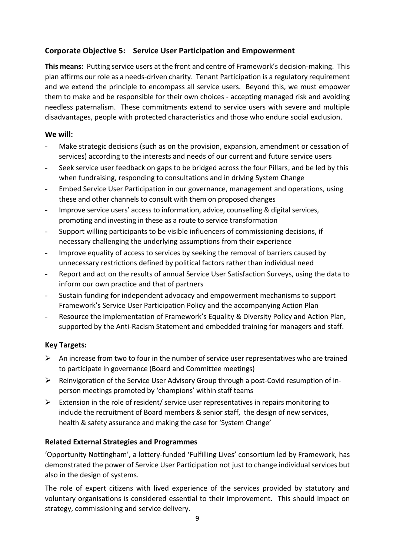# **Corporate Objective 5: Service User Participation and Empowerment**

**This means:** Putting service users at the front and centre of Framework's decision-making. This plan affirms our role as a needs-driven charity. Tenant Participation is a regulatory requirement and we extend the principle to encompass all service users. Beyond this, we must empower them to make and be responsible for their own choices - accepting managed risk and avoiding needless paternalism. These commitments extend to service users with severe and multiple disadvantages, people with protected characteristics and those who endure social exclusion.

## **We will:**

- Make strategic decisions (such as on the provision, expansion, amendment or cessation of services) according to the interests and needs of our current and future service users
- Seek service user feedback on gaps to be bridged across the four Pillars, and be led by this when fundraising, responding to consultations and in driving System Change
- Embed Service User Participation in our governance, management and operations, using these and other channels to consult with them on proposed changes
- Improve service users' access to information, advice, counselling & digital services, promoting and investing in these as a route to service transformation
- Support willing participants to be visible influencers of commissioning decisions, if necessary challenging the underlying assumptions from their experience
- Improve equality of access to services by seeking the removal of barriers caused by unnecessary restrictions defined by political factors rather than individual need
- Report and act on the results of annual Service User Satisfaction Surveys, using the data to inform our own practice and that of partners
- Sustain funding for independent advocacy and empowerment mechanisms to support Framework's Service User Participation Policy and the accompanying Action Plan
- Resource the implementation of Framework's Equality & Diversity Policy and Action Plan, supported by the Anti-Racism Statement and embedded training for managers and staff.

# **Key Targets:**

- $\triangleright$  An increase from two to four in the number of service user representatives who are trained to participate in governance (Board and Committee meetings)
- ➢ Reinvigoration of the Service User Advisory Group through a post-Covid resumption of inperson meetings promoted by 'champions' within staff teams
- $\triangleright$  Extension in the role of resident/ service user representatives in repairs monitoring to include the recruitment of Board members & senior staff, the design of new services, health & safety assurance and making the case for 'System Change'

# **Related External Strategies and Programmes**

'Opportunity Nottingham', a lottery-funded 'Fulfilling Lives' consortium led by Framework, has demonstrated the power of Service User Participation not just to change individual services but also in the design of systems.

The role of expert citizens with lived experience of the services provided by statutory and voluntary organisations is considered essential to their improvement. This should impact on strategy, commissioning and service delivery.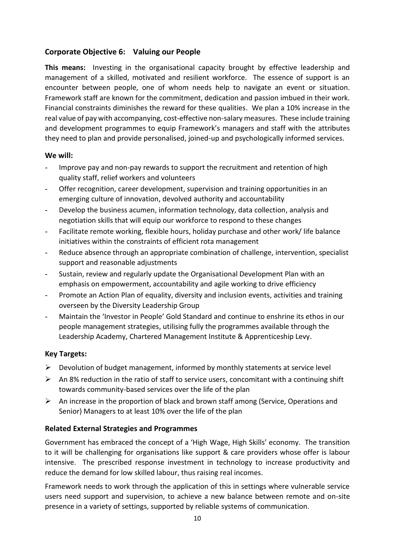# **Corporate Objective 6: Valuing our People**

**This means:** Investing in the organisational capacity brought by effective leadership and management of a skilled, motivated and resilient workforce. The essence of support is an encounter between people, one of whom needs help to navigate an event or situation. Framework staff are known for the commitment, dedication and passion imbued in their work. Financial constraints diminishes the reward for these qualities. We plan a 10% increase in the real value of pay with accompanying, cost-effective non-salary measures. These include training and development programmes to equip Framework's managers and staff with the attributes they need to plan and provide personalised, joined-up and psychologically informed services.

### **We will:**

- Improve pay and non-pay rewards to support the recruitment and retention of high quality staff, relief workers and volunteers
- Offer recognition, career development, supervision and training opportunities in an emerging culture of innovation, devolved authority and accountability
- Develop the business acumen, information technology, data collection, analysis and negotiation skills that will equip our workforce to respond to these changes
- Facilitate remote working, flexible hours, holiday purchase and other work/ life balance initiatives within the constraints of efficient rota management
- Reduce absence through an appropriate combination of challenge, intervention, specialist support and reasonable adjustments
- Sustain, review and regularly update the Organisational Development Plan with an emphasis on empowerment, accountability and agile working to drive efficiency
- Promote an Action Plan of equality, diversity and inclusion events, activities and training overseen by the Diversity Leadership Group
- Maintain the 'Investor in People' Gold Standard and continue to enshrine its ethos in our people management strategies, utilising fully the programmes available through the Leadership Academy, Chartered Management Institute & Apprenticeship Levy.

### **Key Targets:**

- $\triangleright$  Devolution of budget management, informed by monthly statements at service level
- $\triangleright$  An 8% reduction in the ratio of staff to service users, concomitant with a continuing shift towards community-based services over the life of the plan
- $\triangleright$  An increase in the proportion of black and brown staff among (Service, Operations and Senior) Managers to at least 10% over the life of the plan

### **Related External Strategies and Programmes**

Government has embraced the concept of a 'High Wage, High Skills' economy. The transition to it will be challenging for organisations like support & care providers whose offer is labour intensive. The prescribed response investment in technology to increase productivity and reduce the demand for low skilled labour, thus raising real incomes.

Framework needs to work through the application of this in settings where vulnerable service users need support and supervision, to achieve a new balance between remote and on-site presence in a variety of settings, supported by reliable systems of communication.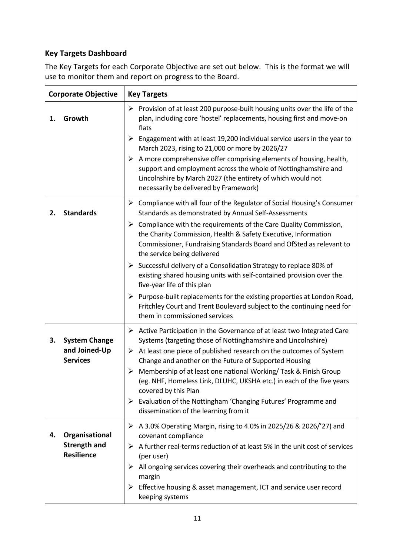# **Key Targets Dashboard**

The Key Targets for each Corporate Objective are set out below. This is the format we will use to monitor them and report on progress to the Board.

| <b>Corporate Objective</b> |                                                            | <b>Key Targets</b>                                                                                                                                                                                                                                                                                                                                                                                                                                                                                                                                                                                                       |  |  |  |
|----------------------------|------------------------------------------------------------|--------------------------------------------------------------------------------------------------------------------------------------------------------------------------------------------------------------------------------------------------------------------------------------------------------------------------------------------------------------------------------------------------------------------------------------------------------------------------------------------------------------------------------------------------------------------------------------------------------------------------|--|--|--|
| 1.                         | Growth                                                     | $\triangleright$ Provision of at least 200 purpose-built housing units over the life of the<br>plan, including core 'hostel' replacements, housing first and move-on<br>flats                                                                                                                                                                                                                                                                                                                                                                                                                                            |  |  |  |
|                            |                                                            | Engagement with at least 19,200 individual service users in the year to<br>➤<br>March 2023, rising to 21,000 or more by 2026/27                                                                                                                                                                                                                                                                                                                                                                                                                                                                                          |  |  |  |
|                            |                                                            | $\triangleright$ A more comprehensive offer comprising elements of housing, health,<br>support and employment across the whole of Nottinghamshire and<br>Lincolnshire by March 2027 (the entirety of which would not<br>necessarily be delivered by Framework)                                                                                                                                                                                                                                                                                                                                                           |  |  |  |
| 2.                         | <b>Standards</b>                                           | $\triangleright$ Compliance with all four of the Regulator of Social Housing's Consumer<br>Standards as demonstrated by Annual Self-Assessments                                                                                                                                                                                                                                                                                                                                                                                                                                                                          |  |  |  |
|                            |                                                            | $\triangleright$ Compliance with the requirements of the Care Quality Commission,<br>the Charity Commission, Health & Safety Executive, Information<br>Commissioner, Fundraising Standards Board and OfSted as relevant to<br>the service being delivered                                                                                                                                                                                                                                                                                                                                                                |  |  |  |
|                            |                                                            | Successful delivery of a Consolidation Strategy to replace 80% of<br>existing shared housing units with self-contained provision over the<br>five-year life of this plan                                                                                                                                                                                                                                                                                                                                                                                                                                                 |  |  |  |
|                            |                                                            | $\triangleright$ Purpose-built replacements for the existing properties at London Road,<br>Fritchley Court and Trent Boulevard subject to the continuing need for<br>them in commissioned services                                                                                                                                                                                                                                                                                                                                                                                                                       |  |  |  |
| 3.                         | <b>System Change</b><br>and Joined-Up<br><b>Services</b>   | $\triangleright$ Active Participation in the Governance of at least two Integrated Care<br>Systems (targeting those of Nottinghamshire and Lincolnshire)<br>$\triangleright$ At least one piece of published research on the outcomes of System<br>Change and another on the Future of Supported Housing<br>$\triangleright$ Membership of at least one national Working/Task & Finish Group<br>(eg. NHF, Homeless Link, DLUHC, UKSHA etc.) in each of the five years<br>covered by this Plan<br>$\triangleright$ Evaluation of the Nottingham 'Changing Futures' Programme and<br>dissemination of the learning from it |  |  |  |
| 4.                         | Organisational<br><b>Strength and</b><br><b>Resilience</b> | $\triangleright$ A 3.0% Operating Margin, rising to 4.0% in 2025/26 & 2026/'27) and<br>covenant compliance<br>A further real-terms reduction of at least 5% in the unit cost of services<br>➤<br>(per user)<br>$\triangleright$ All ongoing services covering their overheads and contributing to the<br>margin<br>$\triangleright$ Effective housing & asset management, ICT and service user record<br>keeping systems                                                                                                                                                                                                 |  |  |  |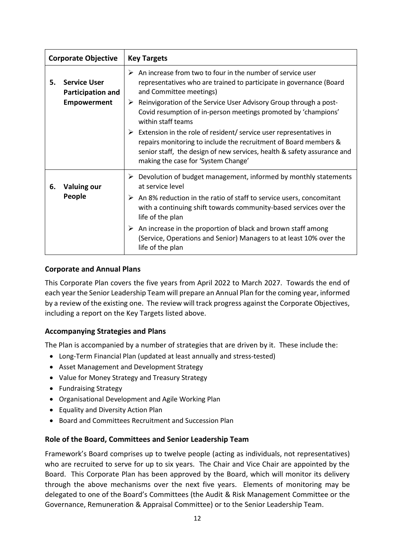| <b>Corporate Objective</b> |                                                 | <b>Key Targets</b>                                                                                                                                                                                                                                                                    |  |  |  |
|----------------------------|-------------------------------------------------|---------------------------------------------------------------------------------------------------------------------------------------------------------------------------------------------------------------------------------------------------------------------------------------|--|--|--|
| 5.                         | <b>Service User</b><br><b>Participation and</b> | $\triangleright$ An increase from two to four in the number of service user<br>representatives who are trained to participate in governance (Board<br>and Committee meetings)                                                                                                         |  |  |  |
|                            | <b>Empowerment</b>                              | $\triangleright$ Reinvigoration of the Service User Advisory Group through a post-<br>Covid resumption of in-person meetings promoted by 'champions'<br>within staff teams                                                                                                            |  |  |  |
|                            |                                                 | $\triangleright$ Extension in the role of resident/ service user representatives in<br>repairs monitoring to include the recruitment of Board members &<br>senior staff, the design of new services, health & safety assurance and<br>making the case for 'System Change'             |  |  |  |
| 6.                         | <b>Valuing our</b><br>People                    | $\triangleright$ Devolution of budget management, informed by monthly statements<br>at service level<br>$\triangleright$ An 8% reduction in the ratio of staff to service users, concomitant<br>with a continuing shift towards community-based services over the<br>life of the plan |  |  |  |
|                            |                                                 | $\triangleright$ An increase in the proportion of black and brown staff among<br>(Service, Operations and Senior) Managers to at least 10% over the<br>life of the plan                                                                                                               |  |  |  |

### **Corporate and Annual Plans**

This Corporate Plan covers the five years from April 2022 to March 2027. Towards the end of each year the Senior Leadership Team will prepare an Annual Plan for the coming year, informed by a review of the existing one. The review will track progress against the Corporate Objectives, including a report on the Key Targets listed above.

### **Accompanying Strategies and Plans**

The Plan is accompanied by a number of strategies that are driven by it. These include the:

- Long-Term Financial Plan (updated at least annually and stress-tested)
- Asset Management and Development Strategy
- Value for Money Strategy and Treasury Strategy
- Fundraising Strategy
- Organisational Development and Agile Working Plan
- Equality and Diversity Action Plan
- Board and Committees Recruitment and Succession Plan

#### **Role of the Board, Committees and Senior Leadership Team**

Framework's Board comprises up to twelve people (acting as individuals, not representatives) who are recruited to serve for up to six years. The Chair and Vice Chair are appointed by the Board. This Corporate Plan has been approved by the Board, which will monitor its delivery through the above mechanisms over the next five years. Elements of monitoring may be delegated to one of the Board's Committees (the Audit & Risk Management Committee or the Governance, Remuneration & Appraisal Committee) or to the Senior Leadership Team.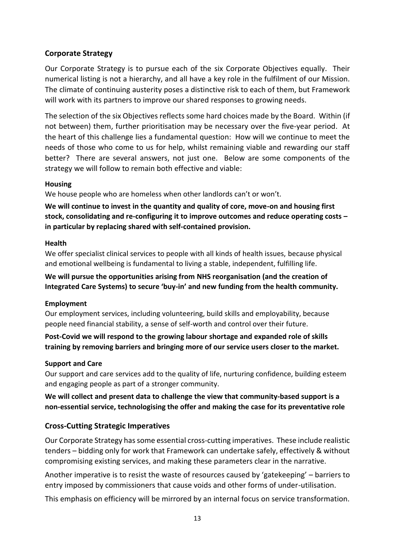# **Corporate Strategy**

Our Corporate Strategy is to pursue each of the six Corporate Objectives equally. Their numerical listing is not a hierarchy, and all have a key role in the fulfilment of our Mission. The climate of continuing austerity poses a distinctive risk to each of them, but Framework will work with its partners to improve our shared responses to growing needs.

The selection of the six Objectives reflects some hard choices made by the Board. Within (if not between) them, further prioritisation may be necessary over the five-year period. At the heart of this challenge lies a fundamental question: How will we continue to meet the needs of those who come to us for help, whilst remaining viable and rewarding our staff better? There are several answers, not just one. Below are some components of the strategy we will follow to remain both effective and viable:

### **Housing**

We house people who are homeless when other landlords can't or won't.

**We will continue to invest in the quantity and quality of core, move-on and housing first stock, consolidating and re-configuring it to improve outcomes and reduce operating costs – in particular by replacing shared with self-contained provision.**

### **Health**

We offer specialist clinical services to people with all kinds of health issues, because physical and emotional wellbeing is fundamental to living a stable, independent, fulfilling life.

**We will pursue the opportunities arising from NHS reorganisation (and the creation of Integrated Care Systems) to secure 'buy-in' and new funding from the health community.** 

### **Employment**

Our employment services, including volunteering, build skills and employability, because people need financial stability, a sense of self-worth and control over their future.

**Post-Covid we will respond to the growing labour shortage and expanded role of skills training by removing barriers and bringing more of our service users closer to the market.** 

### **Support and Care**

Our support and care services add to the quality of life, nurturing confidence, building esteem and engaging people as part of a stronger community.

**We will collect and present data to challenge the view that community-based support is a non-essential service, technologising the offer and making the case for its preventative role**

### **Cross-Cutting Strategic Imperatives**

Our Corporate Strategy has some essential cross-cutting imperatives. These include realistic tenders – bidding only for work that Framework can undertake safely, effectively & without compromising existing services, and making these parameters clear in the narrative.

Another imperative is to resist the waste of resources caused by 'gatekeeping' – barriers to entry imposed by commissioners that cause voids and other forms of under-utilisation.

This emphasis on efficiency will be mirrored by an internal focus on service transformation.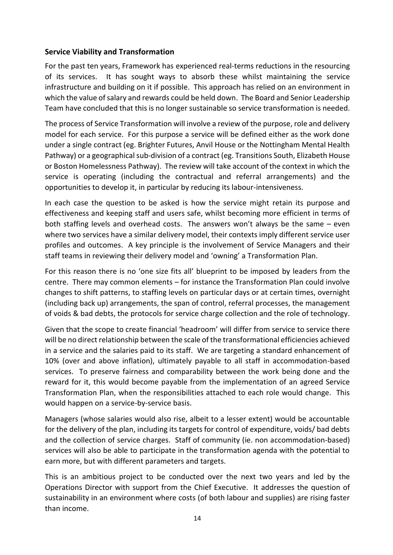## **Service Viability and Transformation**

For the past ten years, Framework has experienced real-terms reductions in the resourcing of its services. It has sought ways to absorb these whilst maintaining the service infrastructure and building on it if possible. This approach has relied on an environment in which the value of salary and rewards could be held down. The Board and Senior Leadership Team have concluded that this is no longer sustainable so service transformation is needed.

The process of Service Transformation will involve a review of the purpose, role and delivery model for each service. For this purpose a service will be defined either as the work done under a single contract (eg. Brighter Futures, Anvil House or the Nottingham Mental Health Pathway) or a geographical sub-division of a contract (eg. Transitions South, Elizabeth House or Boston Homelessness Pathway). The review will take account of the context in which the service is operating (including the contractual and referral arrangements) and the opportunities to develop it, in particular by reducing its labour-intensiveness.

In each case the question to be asked is how the service might retain its purpose and effectiveness and keeping staff and users safe, whilst becoming more efficient in terms of both staffing levels and overhead costs. The answers won't always be the same – even where two services have a similar delivery model, their contexts imply different service user profiles and outcomes. A key principle is the involvement of Service Managers and their staff teams in reviewing their delivery model and 'owning' a Transformation Plan.

For this reason there is no 'one size fits all' blueprint to be imposed by leaders from the centre. There may common elements – for instance the Transformation Plan could involve changes to shift patterns, to staffing levels on particular days or at certain times, overnight (including back up) arrangements, the span of control, referral processes, the management of voids & bad debts, the protocols for service charge collection and the role of technology.

Given that the scope to create financial 'headroom' will differ from service to service there will be no direct relationship between the scale of the transformational efficiencies achieved in a service and the salaries paid to its staff. We are targeting a standard enhancement of 10% (over and above inflation), ultimately payable to all staff in accommodation-based services. To preserve fairness and comparability between the work being done and the reward for it, this would become payable from the implementation of an agreed Service Transformation Plan, when the responsibilities attached to each role would change. This would happen on a service-by-service basis.

Managers (whose salaries would also rise, albeit to a lesser extent) would be accountable for the delivery of the plan, including its targets for control of expenditure, voids/ bad debts and the collection of service charges. Staff of community (ie. non accommodation-based) services will also be able to participate in the transformation agenda with the potential to earn more, but with different parameters and targets.

This is an ambitious project to be conducted over the next two years and led by the Operations Director with support from the Chief Executive. It addresses the question of sustainability in an environment where costs (of both labour and supplies) are rising faster than income.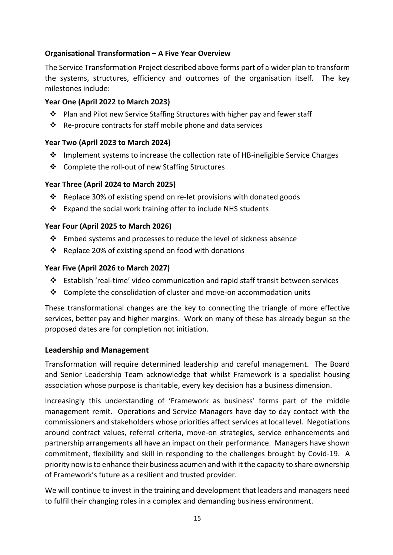# **Organisational Transformation – A Five Year Overview**

The Service Transformation Project described above forms part of a wider plan to transform the systems, structures, efficiency and outcomes of the organisation itself. The key milestones include:

### **Year One (April 2022 to March 2023)**

- ❖ Plan and Pilot new Service Staffing Structures with higher pay and fewer staff
- ❖ Re-procure contracts for staff mobile phone and data services

## **Year Two (April 2023 to March 2024)**

- ❖ Implement systems to increase the collection rate of HB-ineligible Service Charges
- ❖ Complete the roll-out of new Staffing Structures

## **Year Three (April 2024 to March 2025)**

- ❖ Replace 30% of existing spend on re-let provisions with donated goods
- ❖ Expand the social work training offer to include NHS students

## **Year Four (April 2025 to March 2026)**

- $\cdot \cdot$  Embed systems and processes to reduce the level of sickness absence
- ❖ Replace 20% of existing spend on food with donations

## **Year Five (April 2026 to March 2027)**

- ❖ Establish 'real-time' video communication and rapid staff transit between services
- ❖ Complete the consolidation of cluster and move-on accommodation units

These transformational changes are the key to connecting the triangle of more effective services, better pay and higher margins. Work on many of these has already begun so the proposed dates are for completion not initiation.

### **Leadership and Management**

Transformation will require determined leadership and careful management. The Board and Senior Leadership Team acknowledge that whilst Framework is a specialist housing association whose purpose is charitable, every key decision has a business dimension.

Increasingly this understanding of 'Framework as business' forms part of the middle management remit. Operations and Service Managers have day to day contact with the commissioners and stakeholders whose priorities affect services at local level. Negotiations around contract values, referral criteria, move-on strategies, service enhancements and partnership arrangements all have an impact on their performance. Managers have shown commitment, flexibility and skill in responding to the challenges brought by Covid-19. A priority now is to enhance their business acumen and with it the capacity to share ownership of Framework's future as a resilient and trusted provider.

We will continue to invest in the training and development that leaders and managers need to fulfil their changing roles in a complex and demanding business environment.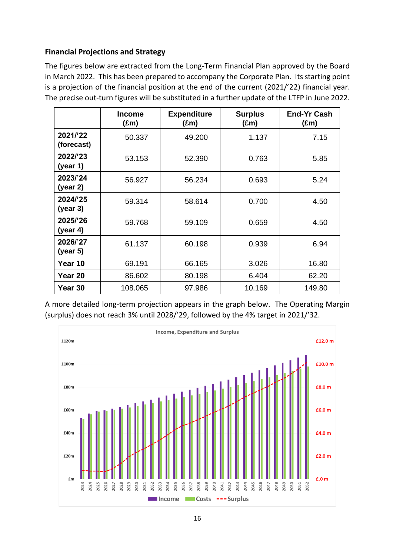# **Financial Projections and Strategy**

The figures below are extracted from the Long-Term Financial Plan approved by the Board in March 2022. This has been prepared to accompany the Corporate Plan. Its starting point is a projection of the financial position at the end of the current (2021/'22) financial year. The precise out-turn figures will be substituted in a further update of the LTFP in June 2022.

|                        | <b>Income</b><br>$(\text{Em})$ | <b>Expenditure</b><br>$(\text{Em})$ | <b>Surplus</b><br>$(\text{Em})$ | <b>End-Yr Cash</b><br>$(\text{Em})$ |
|------------------------|--------------------------------|-------------------------------------|---------------------------------|-------------------------------------|
| 2021/'22<br>(forecast) | 50.337                         | 49.200                              | 1.137                           | 7.15                                |
| 2022/'23<br>(year 1)   | 53.153                         | 52.390                              | 0.763                           | 5.85                                |
| 2023/'24<br>(year 2)   | 56.927                         | 56.234                              | 0.693                           | 5.24                                |
| 2024/'25<br>(year 3)   | 59.314                         | 58.614                              | 0.700                           | 4.50                                |
| 2025/'26<br>(year 4)   | 59.768                         | 59.109                              | 0.659                           | 4.50                                |
| 2026/'27<br>(year 5)   | 61.137                         | 60.198                              | 0.939                           | 6.94                                |
| Year 10                | 69.191                         | 66.165                              | 3.026                           | 16.80                               |
| Year 20                | 86.602                         | 80.198                              | 6.404                           | 62.20                               |
| Year 30                | 108.065                        | 97.986                              | 10.169                          | 149.80                              |

A more detailed long-term projection appears in the graph below. The Operating Margin (surplus) does not reach 3% until 2028/'29, followed by the 4% target in 2021/'32.

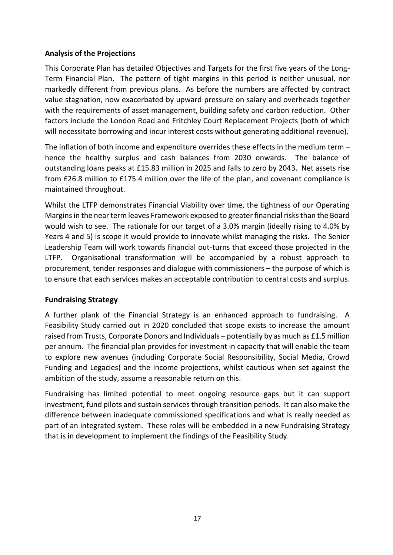## **Analysis of the Projections**

This Corporate Plan has detailed Objectives and Targets for the first five years of the Long-Term Financial Plan. The pattern of tight margins in this period is neither unusual, nor markedly different from previous plans. As before the numbers are affected by contract value stagnation, now exacerbated by upward pressure on salary and overheads together with the requirements of asset management, building safety and carbon reduction. Other factors include the London Road and Fritchley Court Replacement Projects (both of which will necessitate borrowing and incur interest costs without generating additional revenue).

The inflation of both income and expenditure overrides these effects in the medium term – hence the healthy surplus and cash balances from 2030 onwards. The balance of outstanding loans peaks at £15.83 million in 2025 and falls to zero by 2043. Net assets rise from £26.8 million to £175.4 million over the life of the plan, and covenant compliance is maintained throughout.

Whilst the LTFP demonstrates Financial Viability over time, the tightness of our Operating Margins in the near term leaves Framework exposed to greater financial risks than the Board would wish to see. The rationale for our target of a 3.0% margin (ideally rising to 4.0% by Years 4 and 5) is scope it would provide to innovate whilst managing the risks. The Senior Leadership Team will work towards financial out-turns that exceed those projected in the LTFP. Organisational transformation will be accompanied by a robust approach to procurement, tender responses and dialogue with commissioners – the purpose of which is to ensure that each services makes an acceptable contribution to central costs and surplus.

# **Fundraising Strategy**

A further plank of the Financial Strategy is an enhanced approach to fundraising. A Feasibility Study carried out in 2020 concluded that scope exists to increase the amount raised from Trusts, Corporate Donors and Individuals – potentially by as much as £1.5 million per annum. The financial plan provides for investment in capacity that will enable the team to explore new avenues (including Corporate Social Responsibility, Social Media, Crowd Funding and Legacies) and the income projections, whilst cautious when set against the ambition of the study, assume a reasonable return on this.

Fundraising has limited potential to meet ongoing resource gaps but it can support investment, fund pilots and sustain services through transition periods. It can also make the difference between inadequate commissioned specifications and what is really needed as part of an integrated system. These roles will be embedded in a new Fundraising Strategy that is in development to implement the findings of the Feasibility Study.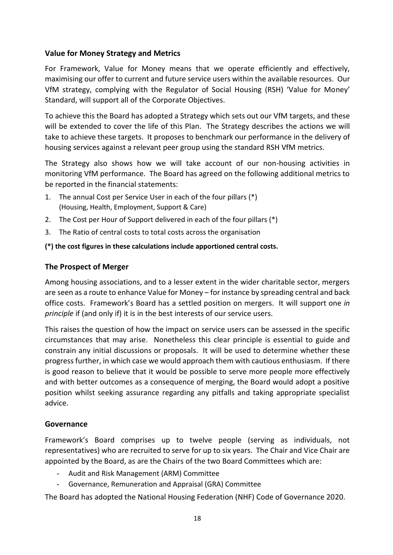# **Value for Money Strategy and Metrics**

For Framework, Value for Money means that we operate efficiently and effectively, maximising our offer to current and future service users within the available resources. Our VfM strategy, complying with the Regulator of Social Housing (RSH) 'Value for Money' Standard, will support all of the Corporate Objectives.

To achieve this the Board has adopted a Strategy which sets out our VfM targets, and these will be extended to cover the life of this Plan. The Strategy describes the actions we will take to achieve these targets. It proposes to benchmark our performance in the delivery of housing services against a relevant peer group using the standard RSH VfM metrics.

The Strategy also shows how we will take account of our non-housing activities in monitoring VfM performance. The Board has agreed on the following additional metrics to be reported in the financial statements:

- 1. The annual Cost per Service User in each of the four pillars (\*) (Housing, Health, Employment, Support & Care)
- 2. The Cost per Hour of Support delivered in each of the four pillars (\*)
- 3. The Ratio of central costs to total costs across the organisation

### **(\*) the cost figures in these calculations include apportioned central costs.**

### **The Prospect of Merger**

Among housing associations, and to a lesser extent in the wider charitable sector, mergers are seen as a route to enhance Value for Money – for instance by spreading central and back office costs. Framework's Board has a settled position on mergers. It will support one *in principle* if (and only if) it is in the best interests of our service users.

This raises the question of how the impact on service users can be assessed in the specific circumstances that may arise. Nonetheless this clear principle is essential to guide and constrain any initial discussions or proposals. It will be used to determine whether these progress further, in which case we would approach them with cautious enthusiasm. If there is good reason to believe that it would be possible to serve more people more effectively and with better outcomes as a consequence of merging, the Board would adopt a positive position whilst seeking assurance regarding any pitfalls and taking appropriate specialist advice.

### **Governance**

Framework's Board comprises up to twelve people (serving as individuals, not representatives) who are recruited to serve for up to six years. The Chair and Vice Chair are appointed by the Board, as are the Chairs of the two Board Committees which are:

- Audit and Risk Management (ARM) Committee
- Governance, Remuneration and Appraisal (GRA) Committee

The Board has adopted the National Housing Federation (NHF) Code of Governance 2020.